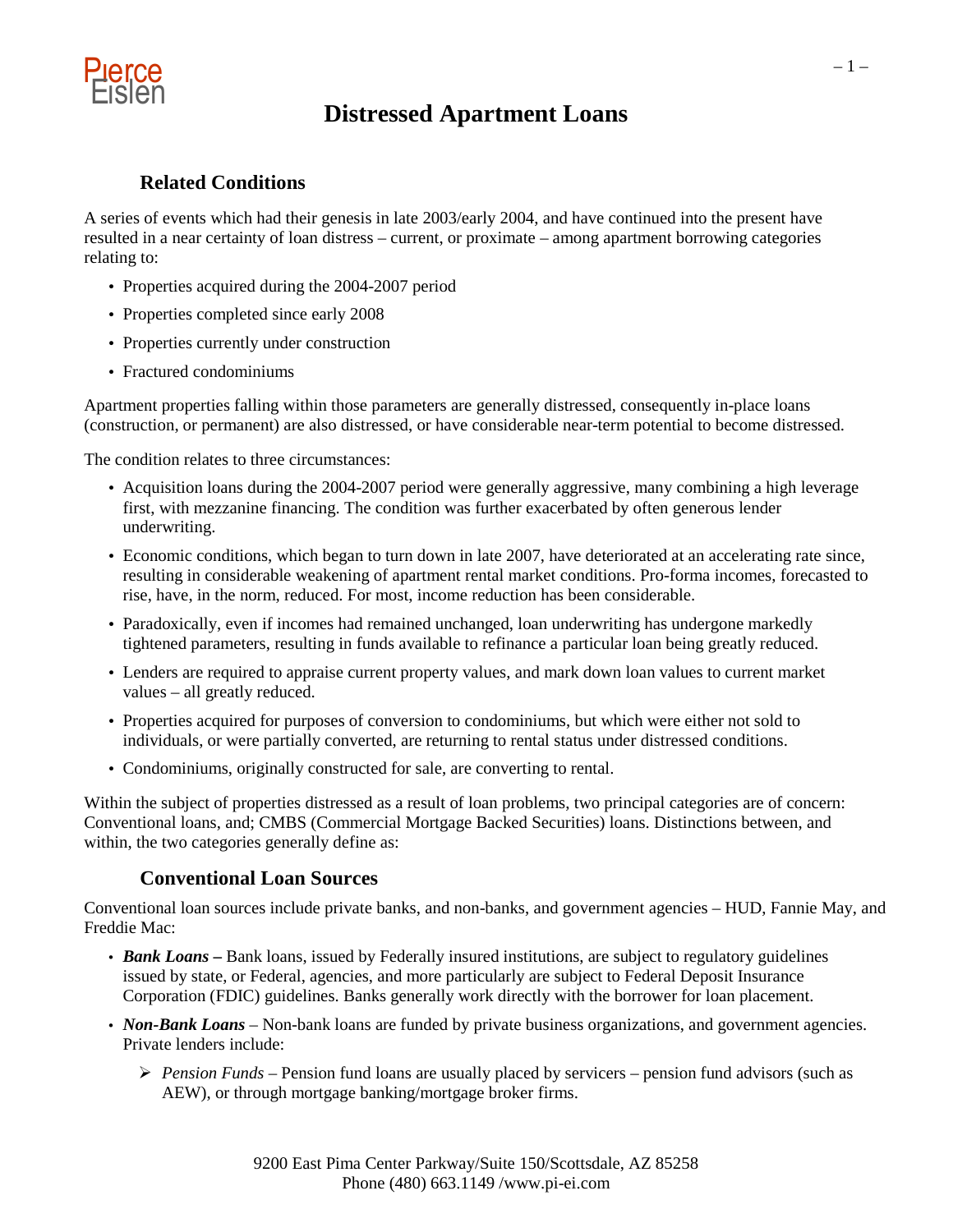

### **Related Conditions**

A series of events which had their genesis in late 2003/early 2004, and have continued into the present have resulted in a near certainty of loan distress – current, or proximate – among apartment borrowing categories relating to:

- Properties acquired during the 2004-2007 period
- Properties completed since early 2008
- Properties currently under construction
- Fractured condominiums

Apartment properties falling within those parameters are generally distressed, consequently in-place loans (construction, or permanent) are also distressed, or have considerable near-term potential to become distressed.

The condition relates to three circumstances:

- Acquisition loans during the 2004-2007 period were generally aggressive, many combining a high leverage first, with mezzanine financing. The condition was further exacerbated by often generous lender underwriting.
- Economic conditions, which began to turn down in late 2007, have deteriorated at an accelerating rate since, resulting in considerable weakening of apartment rental market conditions. Pro-forma incomes, forecasted to rise, have, in the norm, reduced. For most, income reduction has been considerable.
- Paradoxically, even if incomes had remained unchanged, loan underwriting has undergone markedly tightened parameters, resulting in funds available to refinance a particular loan being greatly reduced.
- Lenders are required to appraise current property values, and mark down loan values to current market values – all greatly reduced.
- Properties acquired for purposes of conversion to condominiums, but which were either not sold to individuals, or were partially converted, are returning to rental status under distressed conditions.
- Condominiums, originally constructed for sale, are converting to rental.

Within the subject of properties distressed as a result of loan problems, two principal categories are of concern: Conventional loans, and; CMBS (Commercial Mortgage Backed Securities) loans. Distinctions between, and within, the two categories generally define as:

### **Conventional Loan Sources**

Conventional loan sources include private banks, and non-banks, and government agencies – HUD, Fannie May, and Freddie Mac:

- *Bank Loans* Bank loans, issued by Federally insured institutions, are subject to regulatory guidelines issued by state, or Federal, agencies, and more particularly are subject to Federal Deposit Insurance Corporation (FDIC) guidelines. Banks generally work directly with the borrower for loan placement.
- *Non-Bank Loans* Non-bank loans are funded by private business organizations, and government agencies. Private lenders include:
	- *Pension Funds –* Pension fund loans are usually placed by servicers pension fund advisors (such as AEW), or through mortgage banking/mortgage broker firms.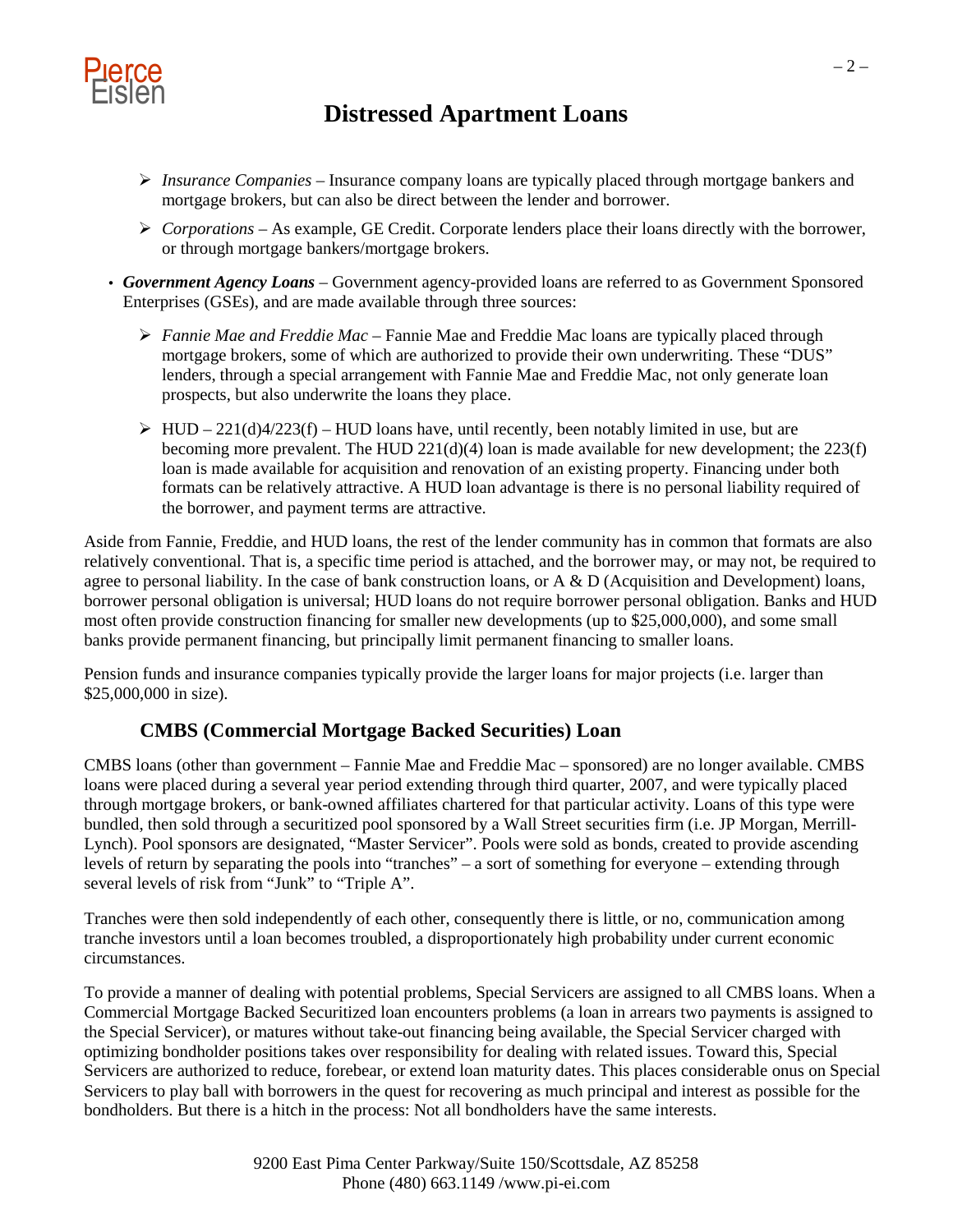

- *Insurance Companies* Insurance company loans are typically placed through mortgage bankers and mortgage brokers, but can also be direct between the lender and borrower.
- *Corporations* As example, GE Credit. Corporate lenders place their loans directly with the borrower, or through mortgage bankers/mortgage brokers.
- *Government Agency Loans* Government agency-provided loans are referred to as Government Sponsored Enterprises (GSEs), and are made available through three sources:
	- *Fannie Mae and Freddie Mac* Fannie Mae and Freddie Mac loans are typically placed through mortgage brokers, some of which are authorized to provide their own underwriting. These "DUS" lenders, through a special arrangement with Fannie Mae and Freddie Mac, not only generate loan prospects, but also underwrite the loans they place.
	- $\triangleright$  HUD 221(d)4/223(f) HUD loans have, until recently, been notably limited in use, but are becoming more prevalent. The HUD 221(d)(4) loan is made available for new development; the 223(f) loan is made available for acquisition and renovation of an existing property. Financing under both formats can be relatively attractive. A HUD loan advantage is there is no personal liability required of the borrower, and payment terms are attractive.

Aside from Fannie, Freddie, and HUD loans, the rest of the lender community has in common that formats are also relatively conventional. That is, a specific time period is attached, and the borrower may, or may not, be required to agree to personal liability. In the case of bank construction loans, or A & D (Acquisition and Development) loans, borrower personal obligation is universal; HUD loans do not require borrower personal obligation. Banks and HUD most often provide construction financing for smaller new developments (up to \$25,000,000), and some small banks provide permanent financing, but principally limit permanent financing to smaller loans.

Pension funds and insurance companies typically provide the larger loans for major projects (i.e. larger than \$25,000,000 in size).

### **CMBS (Commercial Mortgage Backed Securities) Loan**

CMBS loans (other than government – Fannie Mae and Freddie Mac – sponsored) are no longer available. CMBS loans were placed during a several year period extending through third quarter, 2007, and were typically placed through mortgage brokers, or bank-owned affiliates chartered for that particular activity. Loans of this type were bundled, then sold through a securitized pool sponsored by a Wall Street securities firm (i.e. JP Morgan, Merrill-Lynch). Pool sponsors are designated, "Master Servicer". Pools were sold as bonds, created to provide ascending levels of return by separating the pools into "tranches" – a sort of something for everyone – extending through several levels of risk from "Junk" to "Triple A".

Tranches were then sold independently of each other, consequently there is little, or no, communication among tranche investors until a loan becomes troubled, a disproportionately high probability under current economic circumstances.

To provide a manner of dealing with potential problems, Special Servicers are assigned to all CMBS loans. When a Commercial Mortgage Backed Securitized loan encounters problems (a loan in arrears two payments is assigned to the Special Servicer), or matures without take-out financing being available, the Special Servicer charged with optimizing bondholder positions takes over responsibility for dealing with related issues. Toward this, Special Servicers are authorized to reduce, forebear, or extend loan maturity dates. This places considerable onus on Special Servicers to play ball with borrowers in the quest for recovering as much principal and interest as possible for the bondholders. But there is a hitch in the process: Not all bondholders have the same interests.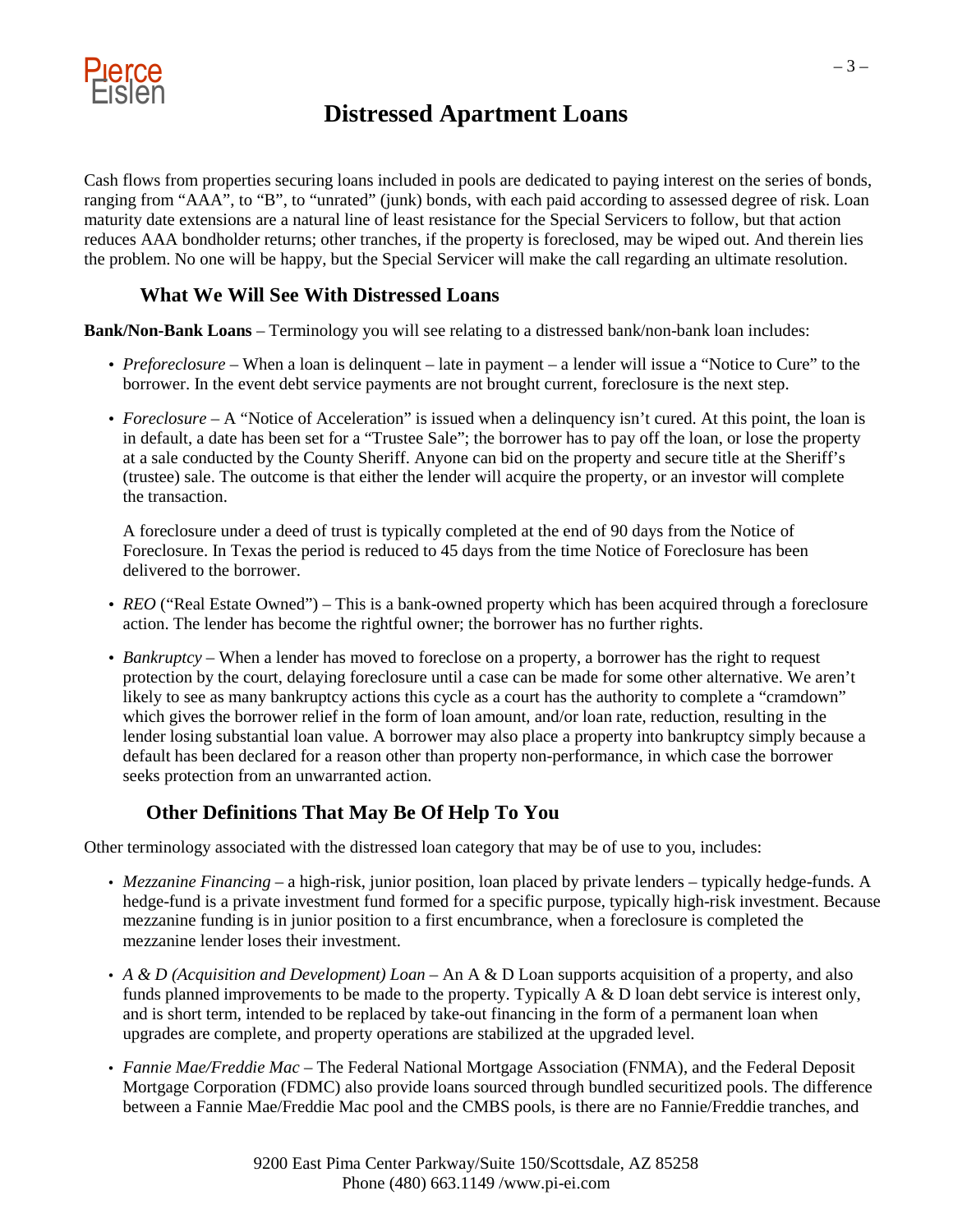

Cash flows from properties securing loans included in pools are dedicated to paying interest on the series of bonds, ranging from "AAA", to "B", to "unrated" (junk) bonds, with each paid according to assessed degree of risk. Loan maturity date extensions are a natural line of least resistance for the Special Servicers to follow, but that action reduces AAA bondholder returns; other tranches, if the property is foreclosed, may be wiped out. And therein lies the problem. No one will be happy, but the Special Servicer will make the call regarding an ultimate resolution.

### **What We Will See With Distressed Loans**

**Bank/Non-Bank Loans** – Terminology you will see relating to a distressed bank/non-bank loan includes:

- *Preforeclosure* When a loan is delinquent late in payment a lender will issue a "Notice to Cure" to the borrower. In the event debt service payments are not brought current, foreclosure is the next step.
- *Foreclosure* A "Notice of Acceleration" is issued when a delinquency isn't cured. At this point, the loan is in default, a date has been set for a "Trustee Sale"; the borrower has to pay off the loan, or lose the property at a sale conducted by the County Sheriff. Anyone can bid on the property and secure title at the Sheriff's (trustee) sale. The outcome is that either the lender will acquire the property, or an investor will complete the transaction.

A foreclosure under a deed of trust is typically completed at the end of 90 days from the Notice of Foreclosure. In Texas the period is reduced to 45 days from the time Notice of Foreclosure has been delivered to the borrower.

- *REO* ("Real Estate Owned") *–* This is a bank-owned property which has been acquired through a foreclosure action. The lender has become the rightful owner; the borrower has no further rights.
- *Bankruptcy* When a lender has moved to foreclose on a property, a borrower has the right to request protection by the court, delaying foreclosure until a case can be made for some other alternative. We aren't likely to see as many bankruptcy actions this cycle as a court has the authority to complete a "cramdown" which gives the borrower relief in the form of loan amount, and/or loan rate, reduction, resulting in the lender losing substantial loan value. A borrower may also place a property into bankruptcy simply because a default has been declared for a reason other than property non-performance, in which case the borrower seeks protection from an unwarranted action.

### **Other Definitions That May Be Of Help To You**

Other terminology associated with the distressed loan category that may be of use to you, includes:

- *Mezzanine Financing* a high-risk, junior position, loan placed by private lenders typically hedge-funds. A hedge-fund is a private investment fund formed for a specific purpose, typically high-risk investment. Because mezzanine funding is in junior position to a first encumbrance, when a foreclosure is completed the mezzanine lender loses their investment.
- *A & D (Acquisition and Development) Loan* An A & D Loan supports acquisition of a property, and also funds planned improvements to be made to the property. Typically  $A \& D$  loan debt service is interest only, and is short term, intended to be replaced by take-out financing in the form of a permanent loan when upgrades are complete, and property operations are stabilized at the upgraded level.
- *Fannie Mae/Freddie Mac* The Federal National Mortgage Association (FNMA), and the Federal Deposit Mortgage Corporation (FDMC) also provide loans sourced through bundled securitized pools. The difference between a Fannie Mae/Freddie Mac pool and the CMBS pools, is there are no Fannie/Freddie tranches, and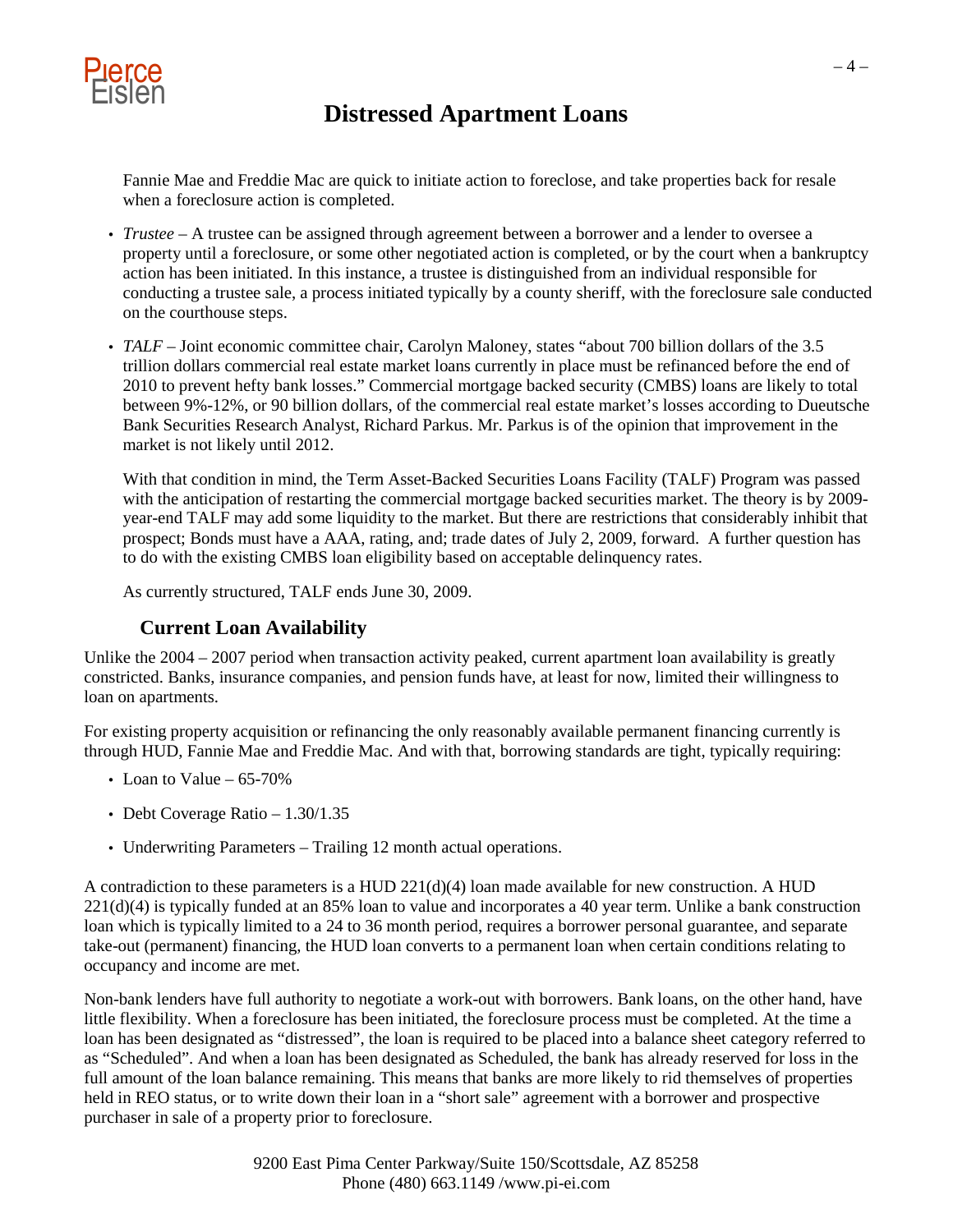

Fannie Mae and Freddie Mac are quick to initiate action to foreclose, and take properties back for resale when a foreclosure action is completed.

- *Trustee* A trustee can be assigned through agreement between a borrower and a lender to oversee a property until a foreclosure, or some other negotiated action is completed, or by the court when a bankruptcy action has been initiated. In this instance, a trustee is distinguished from an individual responsible for conducting a trustee sale, a process initiated typically by a county sheriff, with the foreclosure sale conducted on the courthouse steps.
- *TALF* Joint economic committee chair, Carolyn Maloney, states "about 700 billion dollars of the 3.5 trillion dollars commercial real estate market loans currently in place must be refinanced before the end of 2010 to prevent hefty bank losses." Commercial mortgage backed security (CMBS) loans are likely to total between 9%-12%, or 90 billion dollars, of the commercial real estate market's losses according to Dueutsche Bank Securities Research Analyst, Richard Parkus. Mr. Parkus is of the opinion that improvement in the market is not likely until 2012.

With that condition in mind, the Term Asset-Backed Securities Loans Facility (TALF) Program was passed with the anticipation of restarting the commercial mortgage backed securities market. The theory is by 2009year-end TALF may add some liquidity to the market. But there are restrictions that considerably inhibit that prospect; Bonds must have a AAA, rating, and; trade dates of July 2, 2009, forward. A further question has to do with the existing CMBS loan eligibility based on acceptable delinquency rates.

As currently structured, TALF ends June 30, 2009.

#### **Current Loan Availability**

Unlike the 2004 – 2007 period when transaction activity peaked, current apartment loan availability is greatly constricted. Banks, insurance companies, and pension funds have, at least for now, limited their willingness to loan on apartments.

For existing property acquisition or refinancing the only reasonably available permanent financing currently is through HUD, Fannie Mae and Freddie Mac. And with that, borrowing standards are tight, typically requiring:

- Loan to Value  $-65-70%$
- Debt Coverage Ratio 1.30/1.35
- Underwriting Parameters Trailing 12 month actual operations.

A contradiction to these parameters is a HUD  $221(d)(4)$  loan made available for new construction. A HUD 221(d)(4) is typically funded at an 85% loan to value and incorporates a 40 year term. Unlike a bank construction loan which is typically limited to a 24 to 36 month period, requires a borrower personal guarantee, and separate take-out (permanent) financing, the HUD loan converts to a permanent loan when certain conditions relating to occupancy and income are met.

Non-bank lenders have full authority to negotiate a work-out with borrowers. Bank loans, on the other hand, have little flexibility. When a foreclosure has been initiated, the foreclosure process must be completed. At the time a loan has been designated as "distressed", the loan is required to be placed into a balance sheet category referred to as "Scheduled". And when a loan has been designated as Scheduled, the bank has already reserved for loss in the full amount of the loan balance remaining. This means that banks are more likely to rid themselves of properties held in REO status, or to write down their loan in a "short sale" agreement with a borrower and prospective purchaser in sale of a property prior to foreclosure.